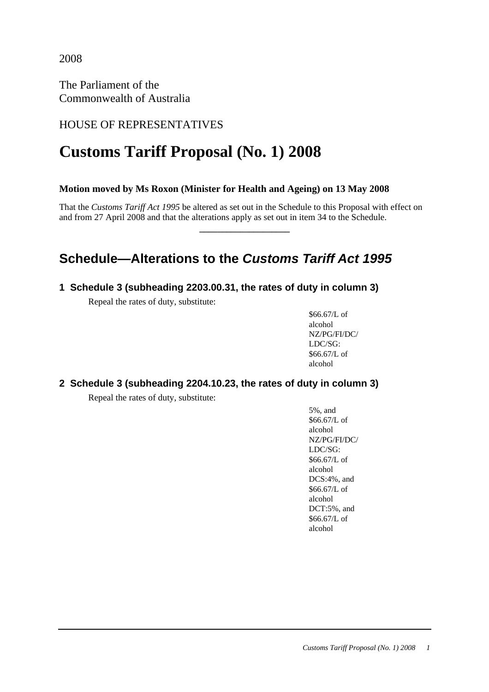2008

The Parliament of the Commonwealth of Australia

### HOUSE OF REPRESENTATIVES

# **Customs Tariff Proposal (No. 1) 2008**

### **Motion moved by Ms Roxon (Minister for Health and Ageing) on 13 May 2008**

That the *Customs Tariff Act 1995* be altered as set out in the Schedule to this Proposal with effect on and from 27 April 2008 and that the alterations apply as set out in item 34 to the Schedule.

**\_\_\_\_\_\_\_\_\_\_\_\_\_\_\_\_\_\_\_\_** 

## **Schedule—Alterations to the Customs Tariff Act 1995**

### **1 Schedule 3 (subheading 2203.00.31, the rates of duty in column 3)**

Repeal the rates of duty, substitute:

\$66.67/L of alcohol NZ/PG/FI/DC/ LDC/SG: \$66.67/L of alcohol

### **2 Schedule 3 (subheading 2204.10.23, the rates of duty in column 3)**

Repeal the rates of duty, substitute:

5%, and \$66.67/L of alcohol NZ/PG/FI/DC/ LDC/SG: \$66.67/L of alcohol DCS:4%, and \$66.67/L of alcohol DCT:5%, and \$66.67/L of alcohol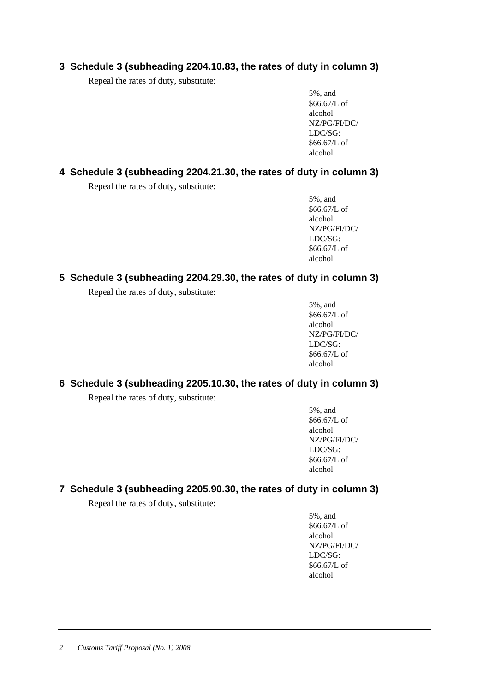### **3 Schedule 3 (subheading 2204.10.83, the rates of duty in column 3)**

Repeal the rates of duty, substitute:

5%, and \$66.67/L of alcohol NZ/PG/FI/DC/ LDC/SG: \$66.67/L of alcohol

#### **4 Schedule 3 (subheading 2204.21.30, the rates of duty in column 3)**

Repeal the rates of duty, substitute:

5%, and \$66.67/L of alcohol NZ/PG/FI/DC/ LDC/SG: \$66.67/L of alcohol

### **5 Schedule 3 (subheading 2204.29.30, the rates of duty in column 3)**

Repeal the rates of duty, substitute:

5%, and \$66.67/L of alcohol NZ/PG/FI/DC/ LDC/SG: \$66.67/L of alcohol

### **6 Schedule 3 (subheading 2205.10.30, the rates of duty in column 3)**

Repeal the rates of duty, substitute:

5%, and \$66.67/L of alcohol NZ/PG/FI/DC/ LDC/SG: \$66.67/L of alcohol

### **7 Schedule 3 (subheading 2205.90.30, the rates of duty in column 3)**

Repeal the rates of duty, substitute:

5%, and \$66.67/L of alcohol NZ/PG/FI/DC/ LDC/SG: \$66.67/L of alcohol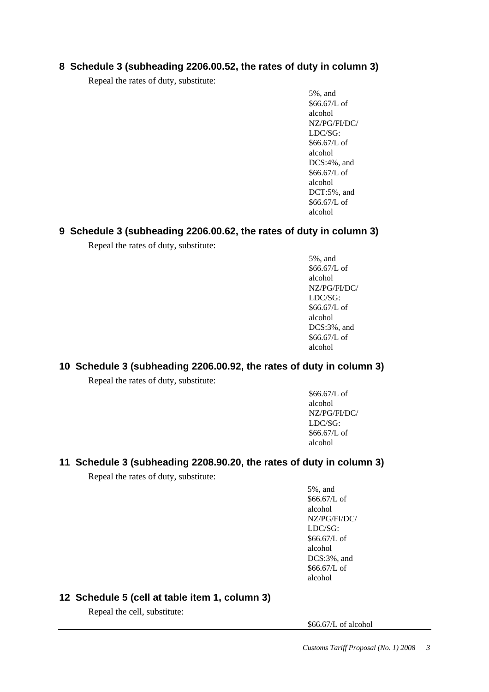### **8 Schedule 3 (subheading 2206.00.52, the rates of duty in column 3)**

Repeal the rates of duty, substitute:

5%, and \$66.67/L of alcohol NZ/PG/FI/DC/ LDC/SG: \$66.67/L of alcohol DCS:4%, and \$66.67/L of alcohol DCT:5%, and \$66.67/L of alcohol

#### **9 Schedule 3 (subheading 2206.00.62, the rates of duty in column 3)**

Repeal the rates of duty, substitute:

5%, and \$66.67/L of alcohol NZ/PG/FI/DC/ LDC/SG: \$66.67/L of alcohol DCS:3%, and \$66.67/L of alcohol

### **10 Schedule 3 (subheading 2206.00.92, the rates of duty in column 3)**

Repeal the rates of duty, substitute:

\$66.67/L of alcohol NZ/PG/FI/DC/ LDC/SG: \$66.67/L of alcohol

### **11 Schedule 3 (subheading 2208.90.20, the rates of duty in column 3)**

Repeal the rates of duty, substitute:

5%, and \$66.67/L of alcohol NZ/PG/FI/DC/ LDC/SG: \$66.67/L of alcohol DCS:3%, and \$66.67/L of alcohol

### **12 Schedule 5 (cell at table item 1, column 3)**

Repeal the cell, substitute:

\$66.67/L of alcohol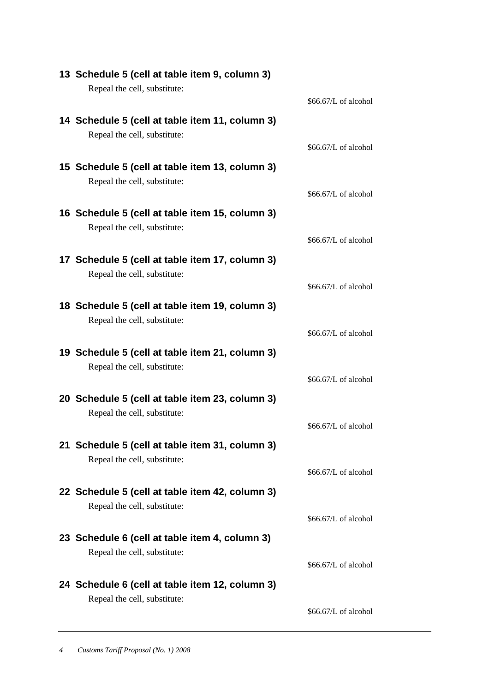| 13 Schedule 5 (cell at table item 9, column 3)  |                       |
|-------------------------------------------------|-----------------------|
| Repeal the cell, substitute:                    |                       |
|                                                 | \$66.67/L of alcohol  |
|                                                 |                       |
| 14 Schedule 5 (cell at table item 11, column 3) |                       |
| Repeal the cell, substitute:                    |                       |
|                                                 | \$66.67/L of alcohol  |
| 15 Schedule 5 (cell at table item 13, column 3) |                       |
| Repeal the cell, substitute:                    |                       |
|                                                 | \$66.67/L of alcohol  |
| 16 Schedule 5 (cell at table item 15, column 3) |                       |
|                                                 |                       |
| Repeal the cell, substitute:                    | $$66.67/L$ of alcohol |
|                                                 |                       |
| 17 Schedule 5 (cell at table item 17, column 3) |                       |
| Repeal the cell, substitute:                    |                       |
|                                                 | \$66.67/L of alcohol  |
| 18 Schedule 5 (cell at table item 19, column 3) |                       |
| Repeal the cell, substitute:                    |                       |
|                                                 | \$66.67/L of alcohol  |
|                                                 |                       |
| 19 Schedule 5 (cell at table item 21, column 3) |                       |
| Repeal the cell, substitute:                    |                       |
|                                                 | $$66.67/L$ of alcohol |
| 20 Schedule 5 (cell at table item 23, column 3) |                       |
| Repeal the cell, substitute:                    |                       |
|                                                 | \$66.67/L of alcohol  |
|                                                 |                       |
| 21 Schedule 5 (cell at table item 31, column 3) |                       |
| Repeal the cell, substitute:                    |                       |
|                                                 | \$66.67/L of alcohol  |
| 22 Schedule 5 (cell at table item 42, column 3) |                       |
| Repeal the cell, substitute:                    |                       |
|                                                 | \$66.67/L of alcohol  |
| 23 Schedule 6 (cell at table item 4, column 3)  |                       |
| Repeal the cell, substitute:                    |                       |
|                                                 | \$66.67/L of alcohol  |
|                                                 |                       |
| 24 Schedule 6 (cell at table item 12, column 3) |                       |
| Repeal the cell, substitute:                    |                       |
|                                                 | \$66.67/L of alcohol  |